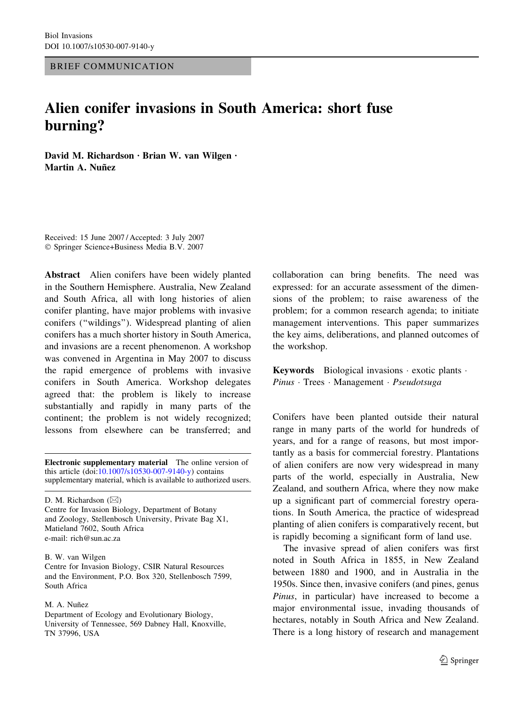BRIEF COMMUNICATION

## Alien conifer invasions in South America: short fuse burning?

David M. Richardson  $\cdot$  Brian W. van Wilgen  $\cdot$ Martin A. Nuñez

Received: 15 June 2007 / Accepted: 3 July 2007 Springer Science+Business Media B.V. 2007

Abstract Alien conifers have been widely planted in the Southern Hemisphere. Australia, New Zealand and South Africa, all with long histories of alien conifer planting, have major problems with invasive conifers (''wildings''). Widespread planting of alien conifers has a much shorter history in South America, and invasions are a recent phenomenon. A workshop was convened in Argentina in May 2007 to discuss the rapid emergence of problems with invasive conifers in South America. Workshop delegates agreed that: the problem is likely to increase substantially and rapidly in many parts of the continent; the problem is not widely recognized; lessons from elsewhere can be transferred; and

Electronic supplementary material The online version of this article (doi[:10.1007/s10530-007-9140-y\)](http://dx.doi.org/10.1007/s10530-007-9140-y) contains supplementary material, which is available to authorized users.

D. M. Richardson  $(\boxtimes)$ 

Centre for Invasion Biology, Department of Botany and Zoology, Stellenbosch University, Private Bag X1, Matieland 7602, South Africa e-mail: rich@sun.ac.za

B. W. van Wilgen

Centre for Invasion Biology, CSIR Natural Resources and the Environment, P.O. Box 320, Stellenbosch 7599, South Africa

M. A. Nuñez

Department of Ecology and Evolutionary Biology, University of Tennessee, 569 Dabney Hall, Knoxville, TN 37996, USA

collaboration can bring benefits. The need was expressed: for an accurate assessment of the dimensions of the problem; to raise awareness of the problem; for a common research agenda; to initiate management interventions. This paper summarizes the key aims, deliberations, and planned outcomes of the workshop.

Keywords Biological invasions  $\cdot$  exotic plants  $\cdot$ Pinus · Trees · Management · Pseudotsuga

Conifers have been planted outside their natural range in many parts of the world for hundreds of years, and for a range of reasons, but most importantly as a basis for commercial forestry. Plantations of alien conifers are now very widespread in many parts of the world, especially in Australia, New Zealand, and southern Africa, where they now make up a significant part of commercial forestry operations. In South America, the practice of widespread planting of alien conifers is comparatively recent, but is rapidly becoming a significant form of land use.

The invasive spread of alien conifers was first noted in South Africa in 1855, in New Zealand between 1880 and 1900, and in Australia in the 1950s. Since then, invasive conifers (and pines, genus Pinus, in particular) have increased to become a major environmental issue, invading thousands of hectares, notably in South Africa and New Zealand. There is a long history of research and management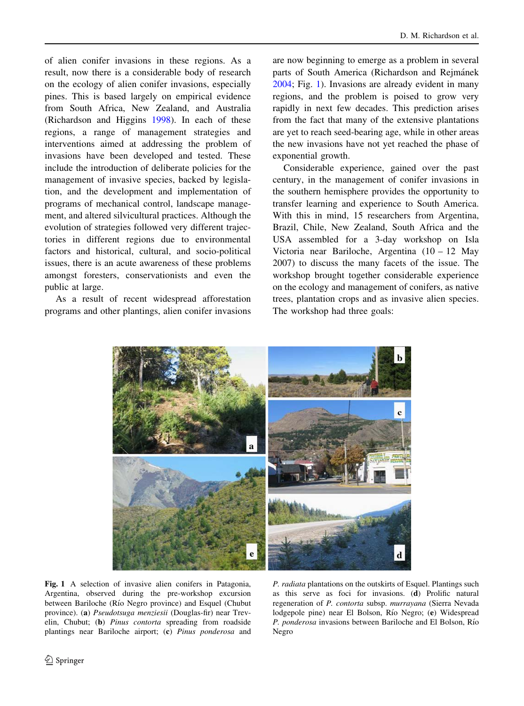of alien conifer invasions in these regions. As a result, now there is a considerable body of research on the ecology of alien conifer invasions, especially pines. This is based largely on empirical evidence from South Africa, New Zealand, and Australia (Richardson and Higgins [1998](#page-4-0)). In each of these regions, a range of management strategies and interventions aimed at addressing the problem of invasions have been developed and tested. These include the introduction of deliberate policies for the management of invasive species, backed by legislation, and the development and implementation of programs of mechanical control, landscape management, and altered silvicultural practices. Although the evolution of strategies followed very different trajectories in different regions due to environmental factors and historical, cultural, and socio-political issues, there is an acute awareness of these problems amongst foresters, conservationists and even the public at large.

As a result of recent widespread afforestation programs and other plantings, alien conifer invasions are now beginning to emerge as a problem in several parts of South America (Richardson and Rejmánek [2004;](#page-4-0) Fig. 1). Invasions are already evident in many regions, and the problem is poised to grow very rapidly in next few decades. This prediction arises from the fact that many of the extensive plantations are yet to reach seed-bearing age, while in other areas the new invasions have not yet reached the phase of exponential growth.

Considerable experience, gained over the past century, in the management of conifer invasions in the southern hemisphere provides the opportunity to transfer learning and experience to South America. With this in mind, 15 researchers from Argentina, Brazil, Chile, New Zealand, South Africa and the USA assembled for a 3-day workshop on Isla Victoria near Bariloche, Argentina (10 – 12 May 2007) to discuss the many facets of the issue. The workshop brought together considerable experience on the ecology and management of conifers, as native trees, plantation crops and as invasive alien species. The workshop had three goals:



Fig. 1 A selection of invasive alien conifers in Patagonia, Argentina, observed during the pre-workshop excursion between Bariloche (Río Negro province) and Esquel (Chubut province). (a) Pseudotsuga menziesii (Douglas-fir) near Trevelin, Chubut; (b) Pinus contorta spreading from roadside plantings near Bariloche airport; (c) Pinus ponderosa and

P. radiata plantations on the outskirts of Esquel. Plantings such as this serve as foci for invasions. (d) Prolific natural regeneration of P. contorta subsp. murrayana (Sierra Nevada lodgepole pine) near El Bolson, Río Negro; (e) Widespread P. ponderosa invasions between Bariloche and El Bolson, Río Negro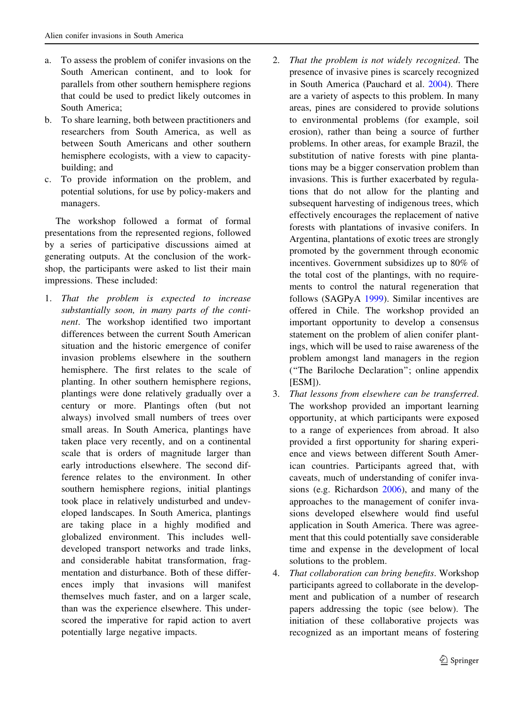- a. To assess the problem of conifer invasions on the South American continent, and to look for parallels from other southern hemisphere regions that could be used to predict likely outcomes in South America;
- b. To share learning, both between practitioners and researchers from South America, as well as between South Americans and other southern hemisphere ecologists, with a view to capacitybuilding; and
- c. To provide information on the problem, and potential solutions, for use by policy-makers and managers.

The workshop followed a format of formal presentations from the represented regions, followed by a series of participative discussions aimed at generating outputs. At the conclusion of the workshop, the participants were asked to list their main impressions. These included:

- 1. That the problem is expected to increase substantially soon, in many parts of the continent. The workshop identified two important differences between the current South American situation and the historic emergence of conifer invasion problems elsewhere in the southern hemisphere. The first relates to the scale of planting. In other southern hemisphere regions, plantings were done relatively gradually over a century or more. Plantings often (but not always) involved small numbers of trees over small areas. In South America, plantings have taken place very recently, and on a continental scale that is orders of magnitude larger than early introductions elsewhere. The second difference relates to the environment. In other southern hemisphere regions, initial plantings took place in relatively undisturbed and undeveloped landscapes. In South America, plantings are taking place in a highly modified and globalized environment. This includes welldeveloped transport networks and trade links, and considerable habitat transformation, fragmentation and disturbance. Both of these differences imply that invasions will manifest themselves much faster, and on a larger scale, than was the experience elsewhere. This underscored the imperative for rapid action to avert potentially large negative impacts.
- 2. That the problem is not widely recognized. The presence of invasive pines is scarcely recognized in South America (Pauchard et al. [2004](#page-4-0)). There are a variety of aspects to this problem. In many areas, pines are considered to provide solutions to environmental problems (for example, soil erosion), rather than being a source of further problems. In other areas, for example Brazil, the substitution of native forests with pine plantations may be a bigger conservation problem than invasions. This is further exacerbated by regulations that do not allow for the planting and subsequent harvesting of indigenous trees, which effectively encourages the replacement of native forests with plantations of invasive conifers. In Argentina, plantations of exotic trees are strongly promoted by the government through economic incentives. Government subsidizes up to 80% of the total cost of the plantings, with no requirements to control the natural regeneration that follows (SAGPyA [1999\)](#page-4-0). Similar incentives are offered in Chile. The workshop provided an important opportunity to develop a consensus statement on the problem of alien conifer plantings, which will be used to raise awareness of the problem amongst land managers in the region (''The Bariloche Declaration''; online appendix [ESM]).
- 3. That lessons from elsewhere can be transferred. The workshop provided an important learning opportunity, at which participants were exposed to a range of experiences from abroad. It also provided a first opportunity for sharing experience and views between different South American countries. Participants agreed that, with caveats, much of understanding of conifer invasions (e.g. Richardson [2006](#page-4-0)), and many of the approaches to the management of conifer invasions developed elsewhere would find useful application in South America. There was agreement that this could potentially save considerable time and expense in the development of local solutions to the problem.
- 4. That collaboration can bring benefits. Workshop participants agreed to collaborate in the development and publication of a number of research papers addressing the topic (see below). The initiation of these collaborative projects was recognized as an important means of fostering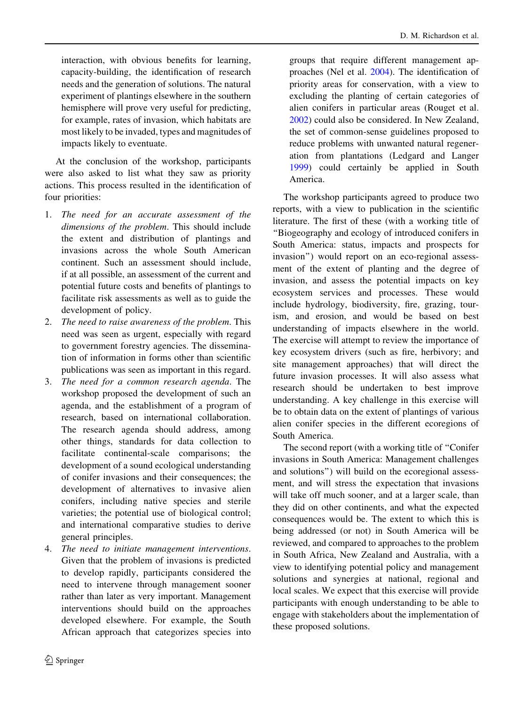interaction, with obvious benefits for learning, capacity-building, the identification of research needs and the generation of solutions. The natural experiment of plantings elsewhere in the southern hemisphere will prove very useful for predicting, for example, rates of invasion, which habitats are most likely to be invaded, types and magnitudes of impacts likely to eventuate.

At the conclusion of the workshop, participants were also asked to list what they saw as priority actions. This process resulted in the identification of four priorities:

- 1. The need for an accurate assessment of the dimensions of the problem. This should include the extent and distribution of plantings and invasions across the whole South American continent. Such an assessment should include, if at all possible, an assessment of the current and potential future costs and benefits of plantings to facilitate risk assessments as well as to guide the development of policy.
- 2. The need to raise awareness of the problem. This need was seen as urgent, especially with regard to government forestry agencies. The dissemination of information in forms other than scientific publications was seen as important in this regard.
- 3. The need for a common research agenda. The workshop proposed the development of such an agenda, and the establishment of a program of research, based on international collaboration. The research agenda should address, among other things, standards for data collection to facilitate continental-scale comparisons; the development of a sound ecological understanding of conifer invasions and their consequences; the development of alternatives to invasive alien conifers, including native species and sterile varieties; the potential use of biological control; and international comparative studies to derive general principles.
- 4. The need to initiate management interventions. Given that the problem of invasions is predicted to develop rapidly, participants considered the need to intervene through management sooner rather than later as very important. Management interventions should build on the approaches developed elsewhere. For example, the South African approach that categorizes species into

groups that require different management approaches (Nel et al. [2004\)](#page-4-0). The identification of priority areas for conservation, with a view to excluding the planting of certain categories of alien conifers in particular areas (Rouget et al. [2002](#page-4-0)) could also be considered. In New Zealand, the set of common-sense guidelines proposed to reduce problems with unwanted natural regeneration from plantations (Ledgard and Langer [1999](#page-4-0)) could certainly be applied in South America.

The workshop participants agreed to produce two reports, with a view to publication in the scientific literature. The first of these (with a working title of ''Biogeography and ecology of introduced conifers in South America: status, impacts and prospects for invasion'') would report on an eco-regional assessment of the extent of planting and the degree of invasion, and assess the potential impacts on key ecosystem services and processes. These would include hydrology, biodiversity, fire, grazing, tourism, and erosion, and would be based on best understanding of impacts elsewhere in the world. The exercise will attempt to review the importance of key ecosystem drivers (such as fire, herbivory; and site management approaches) that will direct the future invasion processes. It will also assess what research should be undertaken to best improve understanding. A key challenge in this exercise will be to obtain data on the extent of plantings of various alien conifer species in the different ecoregions of South America.

The second report (with a working title of ''Conifer invasions in South America: Management challenges and solutions'') will build on the ecoregional assessment, and will stress the expectation that invasions will take off much sooner, and at a larger scale, than they did on other continents, and what the expected consequences would be. The extent to which this is being addressed (or not) in South America will be reviewed, and compared to approaches to the problem in South Africa, New Zealand and Australia, with a view to identifying potential policy and management solutions and synergies at national, regional and local scales. We expect that this exercise will provide participants with enough understanding to be able to engage with stakeholders about the implementation of these proposed solutions.